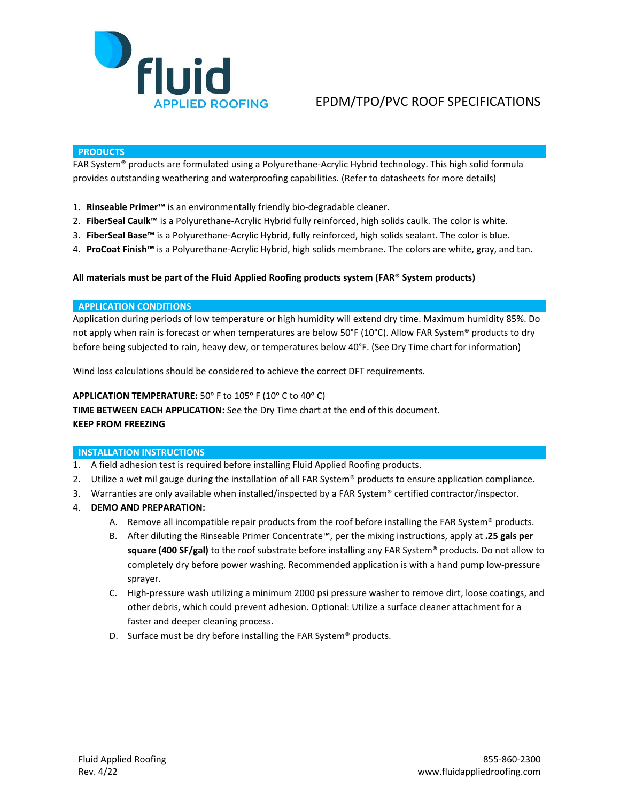

# EPDM/TPO/PVC ROOF SPECIFICATIONS

### **PRODUCTS**

FAR System® products are formulated using a Polyurethane-Acrylic Hybrid technology. This high solid formula provides outstanding weathering and waterproofing capabilities. (Refer to datasheets for more details)

- 1. **Rinseable Primer™** is an environmentally friendly bio-degradable cleaner.
- 2. **FiberSeal Caulk™** is a Polyurethane-Acrylic Hybrid fully reinforced, high solids caulk. The color is white.
- 3. **FiberSeal Base™** is a Polyurethane-Acrylic Hybrid, fully reinforced, high solids sealant. The color is blue.
- 4. **ProCoat Finish™** is a Polyurethane-Acrylic Hybrid, high solids membrane. The colors are white, gray, and tan.

### **All materials must be part of the Fluid Applied Roofing products system (FAR® System products)**

#### **APPLICATION CONDITIONS**

Application during periods of low temperature or high humidity will extend dry time. Maximum humidity 85%. Do not apply when rain is forecast or when temperatures are below 50°F (10°C). Allow FAR System® products to dry before being subjected to rain, heavy dew, or temperatures below 40°F. (See Dry Time chart for information)

Wind loss calculations should be considered to achieve the correct DFT requirements.

#### APPLICATION TEMPERATURE: 50° F to 105° F (10° C to 40° C)

**TIME BETWEEN EACH APPLICATION:** See the Dry Time chart at the end of this document.

#### **KEEP FROM FREEZING**

# **INSTALLATION INSTRUCTIONS**

- 1. A field adhesion test is required before installing Fluid Applied Roofing products.
- 2. Utilize a wet mil gauge during the installation of all FAR System® products to ensure application compliance.
- 3. Warranties are only available when installed/inspected by a FAR System® certified contractor/inspector.
- 4. **DEMO AND PREPARATION:**
	- A. Remove all incompatible repair products from the roof before installing the FAR System® products.
	- B. After diluting the Rinseable Primer Concentrate™, per the mixing instructions, apply at **.25 gals per square (400 SF/gal)** to the roof substrate before installing any FAR System® products. Do not allow to completely dry before power washing. Recommended application is with a hand pump low-pressure sprayer.
	- C. High-pressure wash utilizing a minimum 2000 psi pressure washer to remove dirt, loose coatings, and other debris, which could prevent adhesion. Optional: Utilize a surface cleaner attachment for a faster and deeper cleaning process.
	- D. Surface must be dry before installing the FAR System® products.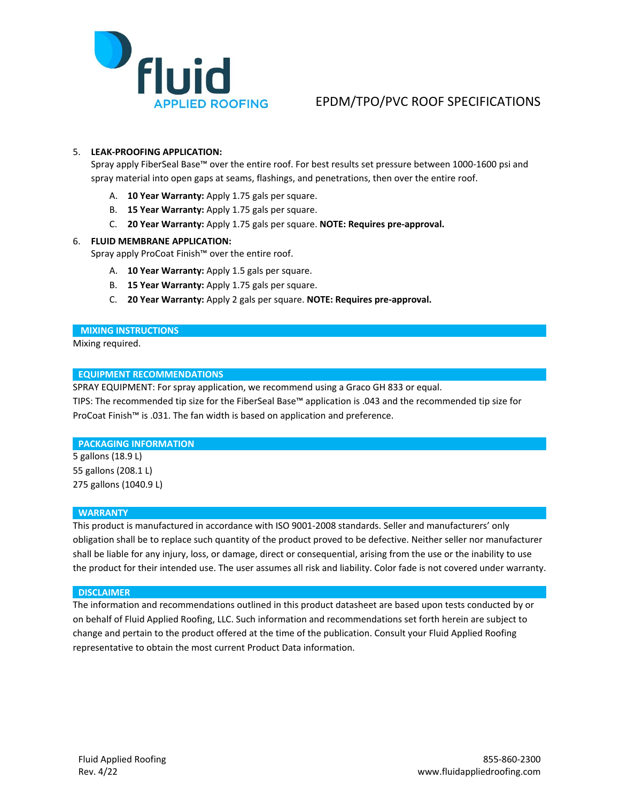

# EPDM/TPO/PVC ROOF SPECIFICATIONS

# 5. **LEAK-PROOFING APPLICATION:**

Spray apply FiberSeal Base™ over the entire roof. For best results set pressure between 1000-1600 psi and spray material into open gaps at seams, flashings, and penetrations, then over the entire roof.

- A. **10 Year Warranty:** Apply 1.75 gals per square.
- B. **15 Year Warranty:** Apply 1.75 gals per square.
- C. **20 Year Warranty:** Apply 1.75 gals per square. **NOTE: Requires pre-approval.**

# 6. **FLUID MEMBRANE APPLICATION:**

Spray apply ProCoat Finish™ over the entire roof.

- A. **10 Year Warranty:** Apply 1.5 gals per square.
- B. **15 Year Warranty:** Apply 1.75 gals per square.
- C. **20 Year Warranty:** Apply 2 gals per square. **NOTE: Requires pre-approval.**

### **MIXING INSTRUCTIONS**

Mixing required.

# **EQUIPMENT RECOMMENDATIONS**

SPRAY EQUIPMENT: For spray application, we recommend using a Graco GH 833 or equal.

TIPS: The recommended tip size for the FiberSeal Base™ application is .043 and the recommended tip size for ProCoat Finish™ is .031. The fan width is based on application and preference.

# **PACKAGING INFORMATION**

5 gallons (18.9 L) 55 gallons (208.1 L) 275 gallons (1040.9 L)

#### **WARRANTY**

This product is manufactured in accordance with ISO 9001-2008 standards. Seller and manufacturers' only obligation shall be to replace such quantity of the product proved to be defective. Neither seller nor manufacturer shall be liable for any injury, loss, or damage, direct or consequential, arising from the use or the inability to use the product for their intended use. The user assumes all risk and liability. Color fade is not covered under warranty.

#### **DISCLAIMER**

The information and recommendations outlined in this product datasheet are based upon tests conducted by or on behalf of Fluid Applied Roofing, LLC. Such information and recommendations set forth herein are subject to change and pertain to the product offered at the time of the publication. Consult your Fluid Applied Roofing representative to obtain the most current Product Data information.